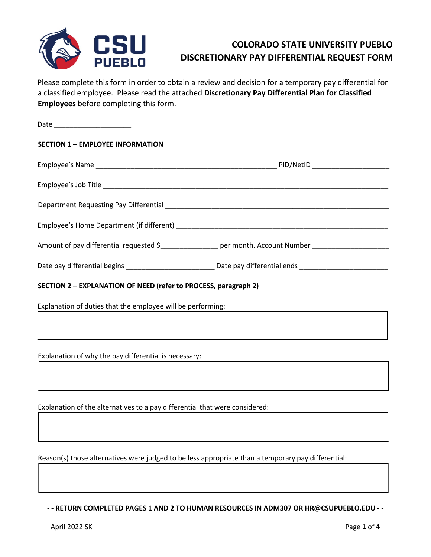

Please complete this form in order to obtain a review and decision for a temporary pay differential for a classified employee. Please read the attached **Discretionary Pay Differential Plan for Classified Employees** before completing this form.

| Date ___________________________                                |                                                                                                                      |  |  |
|-----------------------------------------------------------------|----------------------------------------------------------------------------------------------------------------------|--|--|
| <b>SECTION 1 - EMPLOYEE INFORMATION</b>                         |                                                                                                                      |  |  |
|                                                                 |                                                                                                                      |  |  |
|                                                                 |                                                                                                                      |  |  |
|                                                                 |                                                                                                                      |  |  |
|                                                                 |                                                                                                                      |  |  |
|                                                                 | Amount of pay differential requested \$_________________ per month. Account Number __________________                |  |  |
|                                                                 | Date pay differential begins ________________________________ Date pay differential ends ___________________________ |  |  |
| SECTION 2 - EXPLANATION OF NEED (refer to PROCESS, paragraph 2) |                                                                                                                      |  |  |
| Explanation of duties that the employee will be performing:     |                                                                                                                      |  |  |
|                                                                 |                                                                                                                      |  |  |

 $\mathcal{L}_\mathcal{L} = \{ \mathcal{L}_\mathcal{L} = \{ \mathcal{L}_\mathcal{L} = \{ \mathcal{L}_\mathcal{L} = \{ \mathcal{L}_\mathcal{L} = \{ \mathcal{L}_\mathcal{L} = \{ \mathcal{L}_\mathcal{L} = \{ \mathcal{L}_\mathcal{L} = \{ \mathcal{L}_\mathcal{L} = \{ \mathcal{L}_\mathcal{L} = \{ \mathcal{L}_\mathcal{L} = \{ \mathcal{L}_\mathcal{L} = \{ \mathcal{L}_\mathcal{L} = \{ \mathcal{L}_\mathcal{L} = \{ \mathcal{L}_\mathcal{$ 

 $\Box$  . The contribution of the contribution of the contribution of the contribution of the contribution of the contribution of the contribution of the contribution of the contribution of the contribution of the contributi

 $\Box$  , and the contribution of the contribution of the contribution of the contribution of the contribution of the contribution of the contribution of the contribution of the contribution of the contribution of the contri

Explanation of why the pay differential is necessary:

Explanation of the alternatives to a pay differential that were considered:

Reason(s) those alternatives were judged to be less appropriate than a temporary pay differential:

**- - RETURN COMPLETED PAGES 1 AND 2 TO HUMAN RESOURCES IN ADM307 OR HR@CSUPUEBLO.EDU - -** 

 $\Box$  . The contract of the contract of the contract of the contract of the contract of the contract of the contract of the contract of the contract of the contract of the contract of the contract of the contract of the co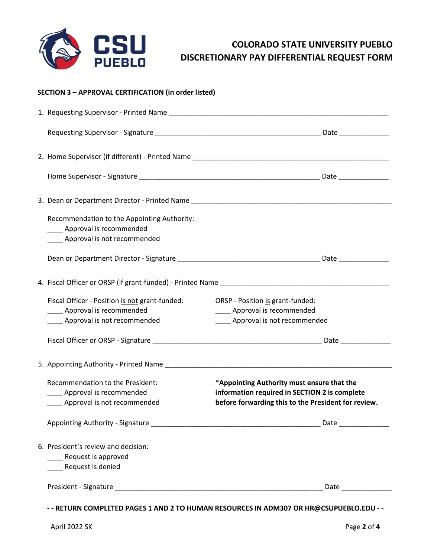

### **SECTION 3 – APPROVAL CERTIFICATION (in order listed)**

|  | Recommendation to the Appointing Authority:<br>Approval is recommended<br>____ Approval is not recommended |                                                                                                                                                    |
|--|------------------------------------------------------------------------------------------------------------|----------------------------------------------------------------------------------------------------------------------------------------------------|
|  |                                                                                                            |                                                                                                                                                    |
|  |                                                                                                            |                                                                                                                                                    |
|  | Fiscal Officer - Position is not grant-funded:<br>Approval is recommended<br>Approval is not recommended   | ORSP - Position is grant-funded:<br>Approval is recommended<br>Approval is not recommended                                                         |
|  |                                                                                                            |                                                                                                                                                    |
|  |                                                                                                            |                                                                                                                                                    |
|  | Recommendation to the President:<br>Approval is recommended<br>Approval is not recommended                 | *Appointing Authority must ensure that the<br>information required in SECTION 2 is complete<br>before forwarding this to the President for review. |
|  |                                                                                                            |                                                                                                                                                    |
|  | 6. President's review and decision:<br>Request is approved<br>Request is denied                            |                                                                                                                                                    |
|  |                                                                                                            | Date and the set of the set of the set of the set of the set of the set of the set of the set of the set of th                                     |
|  |                                                                                                            | - - RETURN COMPLETED PAGES 1 AND 2 TO HUMAN RESOURCES IN ADM307 OR HR@CSUPUEBLO.EDU - -                                                            |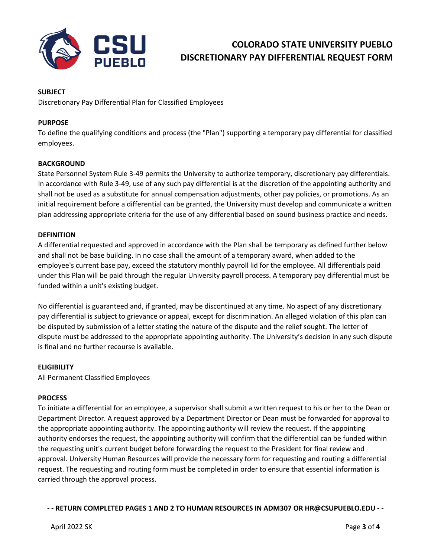

### **SUBJECT**

Discretionary Pay Differential Plan for Classified Employees

### **PURPOSE**

To define the qualifying conditions and process (the "Plan") supporting a temporary pay differential for classified employees.

#### **BACKGROUND**

State Personnel System Rule 3-49 permits the University to authorize temporary, discretionary pay differentials. In accordance with Rule 3-49, use of any such pay differential is at the discretion of the appointing authority and shall not be used as a substitute for annual compensation adjustments, other pay policies, or promotions. As an initial requirement before a differential can be granted, the University must develop and communicate a written plan addressing appropriate criteria for the use of any differential based on sound business practice and needs.

#### **DEFINITION**

A differential requested and approved in accordance with the Plan shall be temporary as defined further below and shall not be base building. In no case shall the amount of a temporary award, when added to the employee's current base pay, exceed the statutory monthly payroll lid for the employee. All differentials paid under this Plan will be paid through the regular University payroll process. A temporary pay differential must be funded within a unit's existing budget.

No differential is guaranteed and, if granted, may be discontinued at any time. No aspect of any discretionary pay differential is subject to grievance or appeal, except for discrimination. An alleged violation of this plan can be disputed by submission of a letter stating the nature of the dispute and the relief sought. The letter of dispute must be addressed to the appropriate appointing authority. The University's decision in any such dispute is final and no further recourse is available.

#### **ELIGIBILITY**

All Permanent Classified Employees

#### **PROCESS**

To initiate a differential for an employee, a supervisor shall submit a written request to his or her to the Dean or Department Director. A request approved by a Department Director or Dean must be forwarded for approval to the appropriate appointing authority. The appointing authority will review the request. If the appointing authority endorses the request, the appointing authority will confirm that the differential can be funded within the requesting unit's current budget before forwarding the request to the President for final review and approval. University Human Resources will provide the necessary form for requesting and routing a differential request. The requesting and routing form must be completed in order to ensure that essential information is carried through the approval process.

**- - RETURN COMPLETED PAGES 1 AND 2 TO HUMAN RESOURCES IN ADM307 OR HR@CSUPUEBLO.EDU - -**